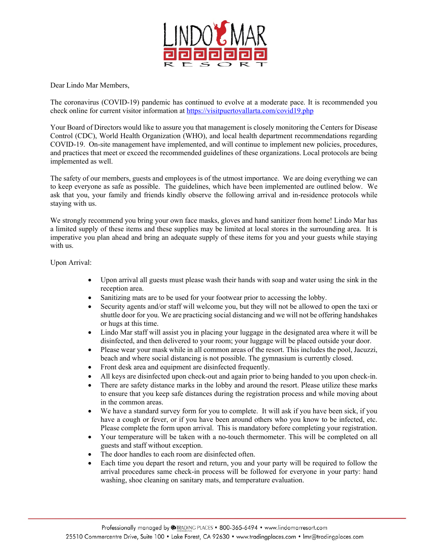

Dear Lindo Mar Members,

The coronavirus (COVID-19) pandemic has continued to evolve at a moderate pace. It is recommended you check online for current visitor information at<https://visitpuertovallarta.com/covid19.php>

Your Board of Directors would like to assure you that management is closely monitoring the Centers for Disease Control (CDC), World Health Organization (WHO), and local health department recommendations regarding COVID-19. On-site management have implemented, and will continue to implement new policies, procedures, and practices that meet or exceed the recommended guidelines of these organizations. Local protocols are being implemented as well.

The safety of our members, guests and employees is of the utmost importance. We are doing everything we can to keep everyone as safe as possible. The guidelines, which have been implemented are outlined below. We ask that you, your family and friends kindly observe the following arrival and in-residence protocols while staying with us.

We strongly recommend you bring your own face masks, gloves and hand sanitizer from home! Lindo Mar has a limited supply of these items and these supplies may be limited at local stores in the surrounding area. It is imperative you plan ahead and bring an adequate supply of these items for you and your guests while staying with us.

Upon Arrival:

- Upon arrival all guests must please wash their hands with soap and water using the sink in the reception area.
- Sanitizing mats are to be used for your footwear prior to accessing the lobby.
- Security agents and/or staff will welcome you, but they will not be allowed to open the taxi or shuttle door for you. We are practicing social distancing and we will not be offering handshakes or hugs at this time.
- Lindo Mar staff will assist you in placing your luggage in the designated area where it will be disinfected, and then delivered to your room; your luggage will be placed outside your door.
- Please wear your mask while in all common areas of the resort. This includes the pool, Jacuzzi, beach and where social distancing is not possible. The gymnasium is currently closed.
- Front desk area and equipment are disinfected frequently.
- All keys are disinfected upon check-out and again prior to being handed to you upon check-in.
- There are safety distance marks in the lobby and around the resort. Please utilize these marks to ensure that you keep safe distances during the registration process and while moving about in the common areas.
- We have a standard survey form for you to complete. It will ask if you have been sick, if you have a cough or fever, or if you have been around others who you know to be infected, etc. Please complete the form upon arrival. This is mandatory before completing your registration.
- Your temperature will be taken with a no-touch thermometer. This will be completed on all guests and staff without exception.
- The door handles to each room are disinfected often.
- Each time you depart the resort and return, you and your party will be required to follow the arrival procedures same check-in process will be followed for everyone in your party: hand washing, shoe cleaning on sanitary mats, and temperature evaluation.